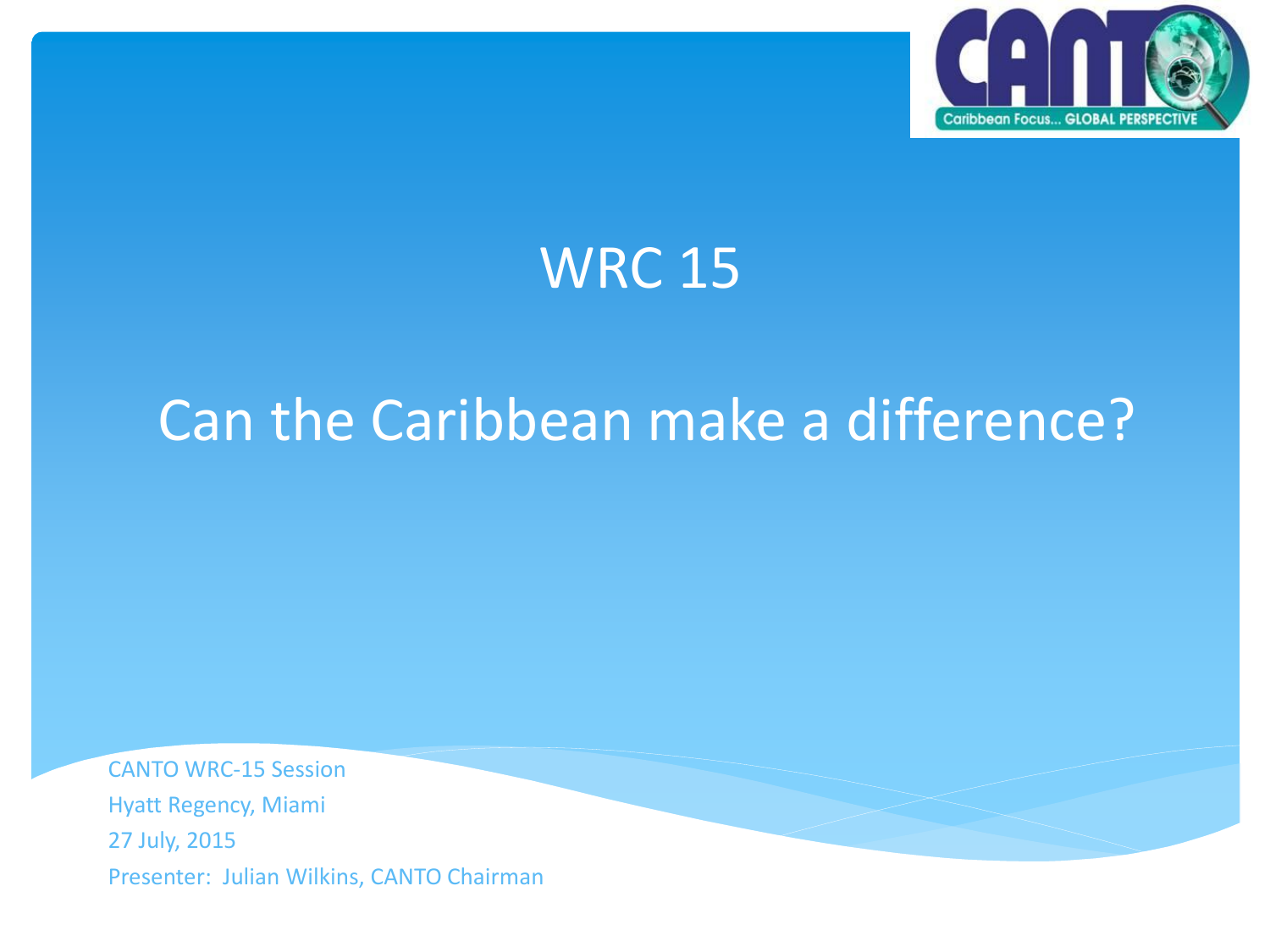

### WRC 15

## Can the Caribbean make a difference?

CANTO WRC-15 Session Hyatt Regency, Miami 27 July, 2015 Presenter: Julian Wilkins, CANTO Chairman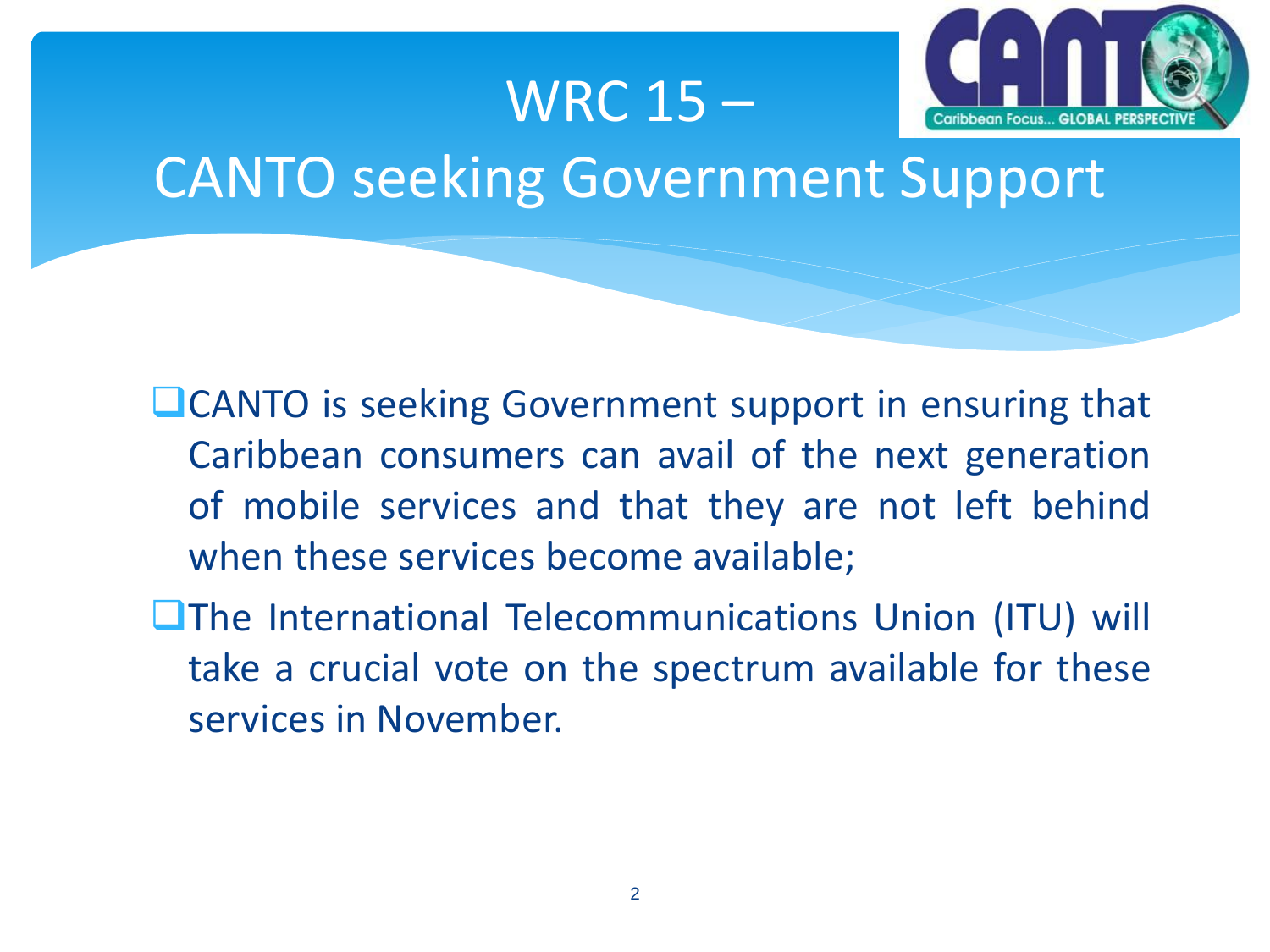#### WRC 15 –



## CANTO seeking Government Support

- **LICANTO** is seeking Government support in ensuring that Caribbean consumers can avail of the next generation of mobile services and that they are not left behind when these services become available;
- **The International Telecommunications Union (ITU) will** take a crucial vote on the spectrum available for these services in November.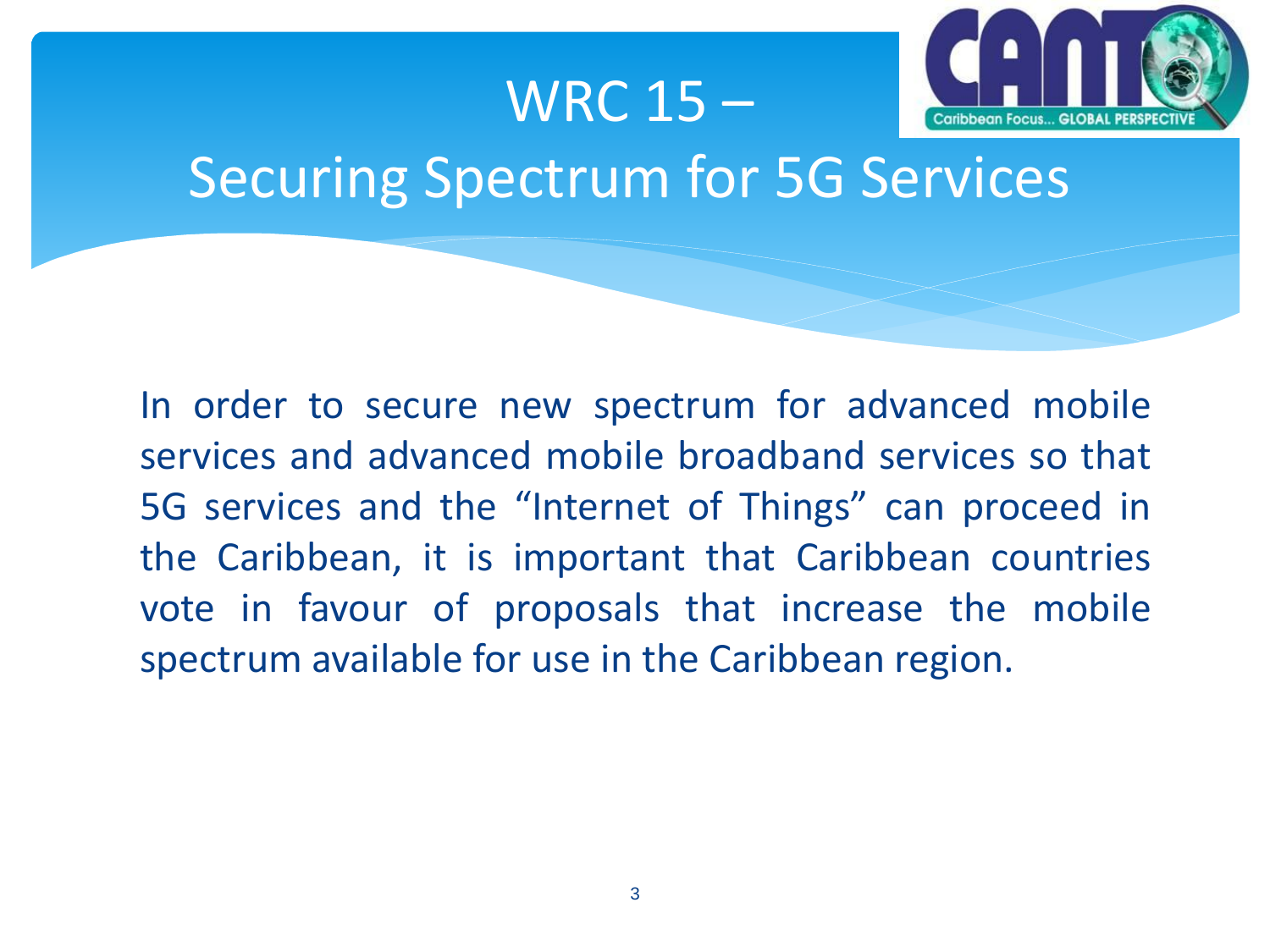

# Securing Spectrum for 5G Services

WRC 15 –

In order to secure new spectrum for advanced mobile services and advanced mobile broadband services so that 5G services and the "Internet of Things" can proceed in the Caribbean, it is important that Caribbean countries vote in favour of proposals that increase the mobile spectrum available for use in the Caribbean region.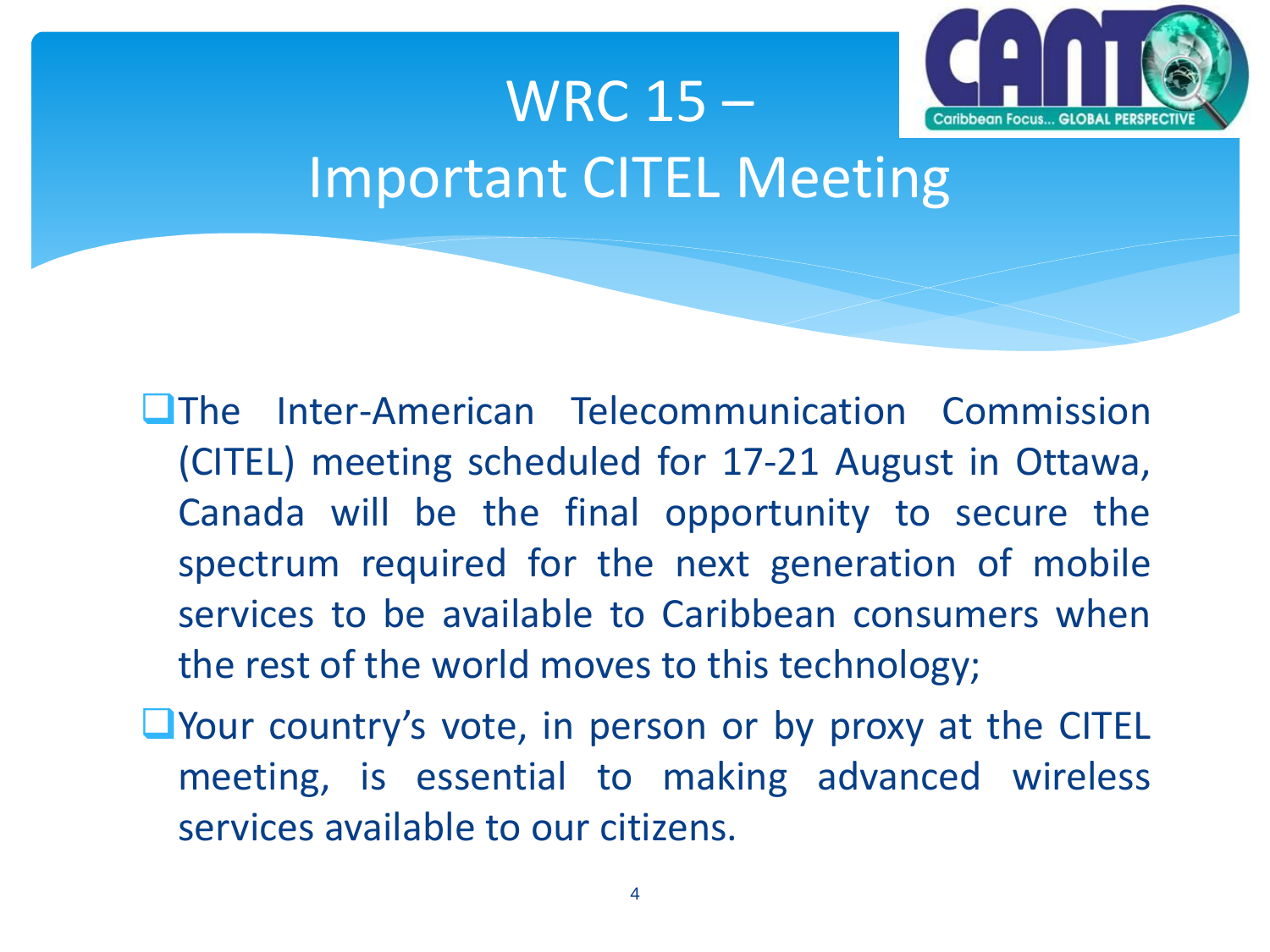

# WRC 15 – Important CITEL Meeting

- The Inter-American Telecommunication Commission (CITEL) meeting scheduled for 17-21 August in Ottawa, Canada will be the final opportunity to secure the spectrum required for the next generation of mobile services to be available to Caribbean consumers when the rest of the world moves to this technology;
- $\Box$  Your country's vote, in person or by proxy at the CITEL meeting, is essential to making advanced wireless services available to our citizens.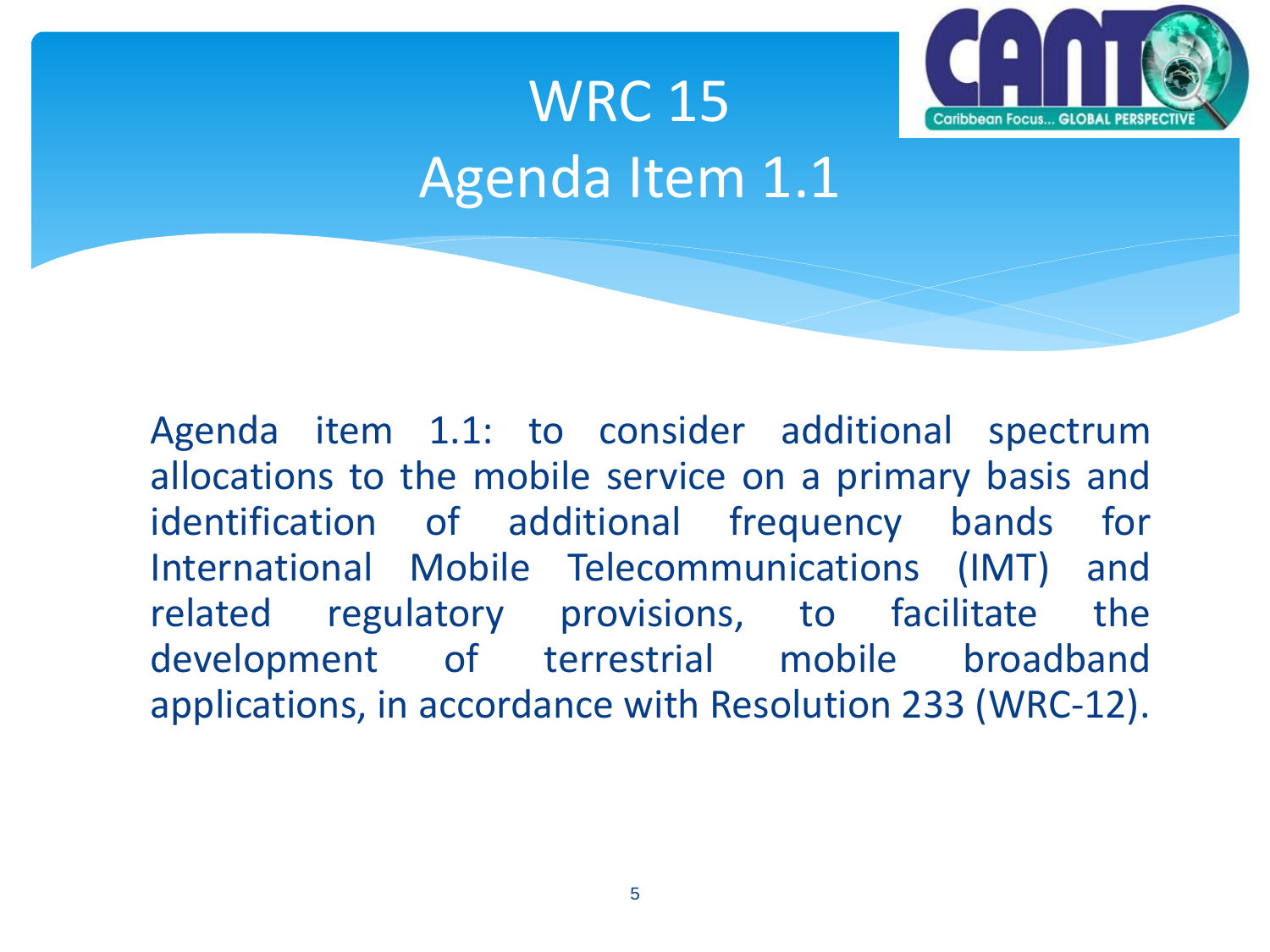

# WRC 15 Agenda Item 1.1

Agenda item 1.1: to consider additional spectrum allocations to the mobile service on a primary basis and identification of additional frequency bands for International Mobile Telecommunications (IMT) and related regulatory provisions, to facilitate the development of terrestrial mobile broadband applications, in accordance with Resolution 233 (WRC-12).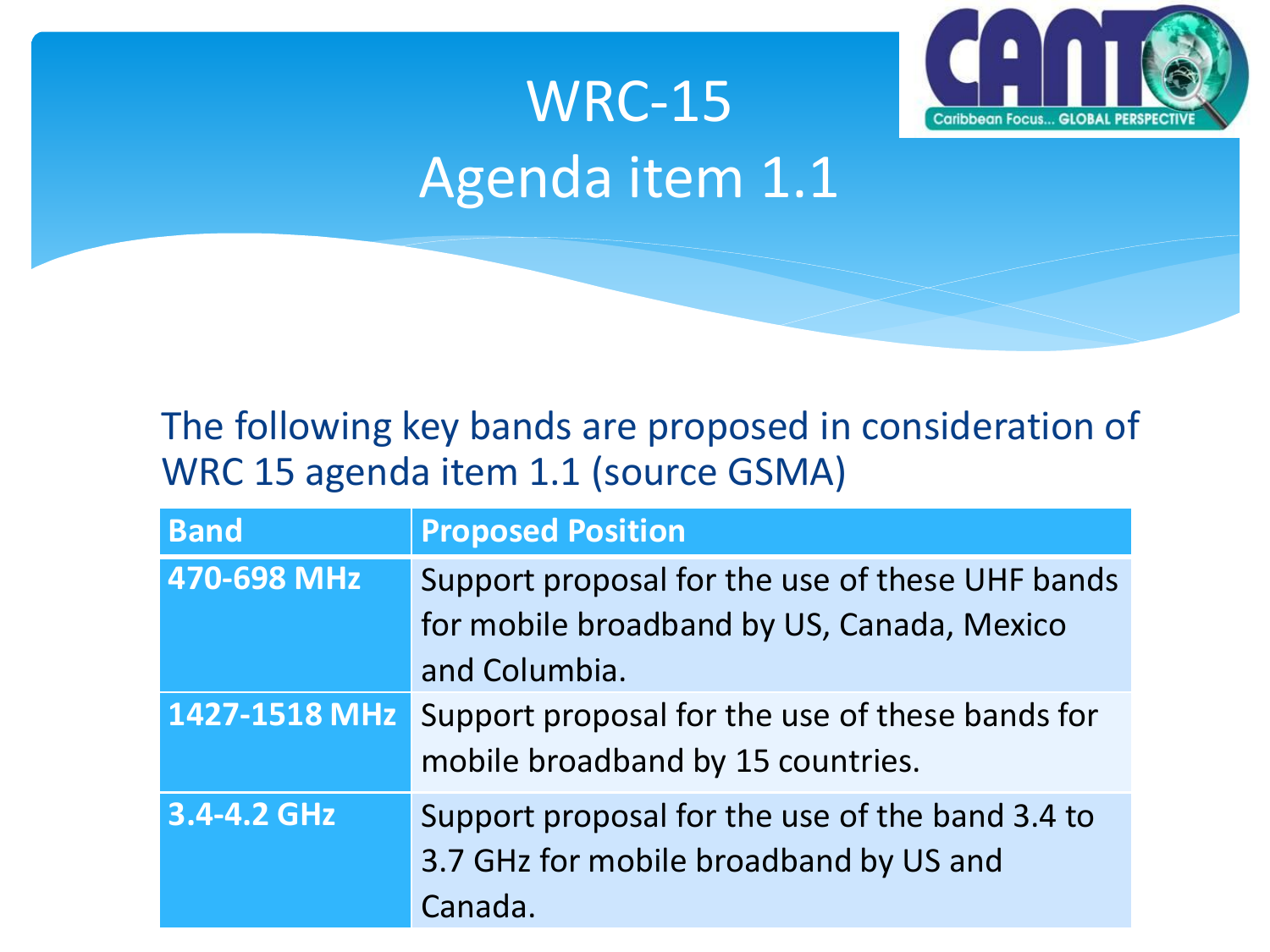

# WRC-15 Agenda item 1.1

#### The following key bands are proposed in consideration of WRC 15 agenda item 1.1 (source GSMA)

| <b>Band</b>   | <b>Proposed Position</b>                                                                                       |
|---------------|----------------------------------------------------------------------------------------------------------------|
| 470-698 MHz   | Support proposal for the use of these UHF bands<br>for mobile broadband by US, Canada, Mexico<br>and Columbia. |
| 1427-1518 MHz | Support proposal for the use of these bands for<br>mobile broadband by 15 countries.                           |
| 3.4-4.2 GHz   | Support proposal for the use of the band 3.4 to<br>3.7 GHz for mobile broadband by US and<br>Canada.           |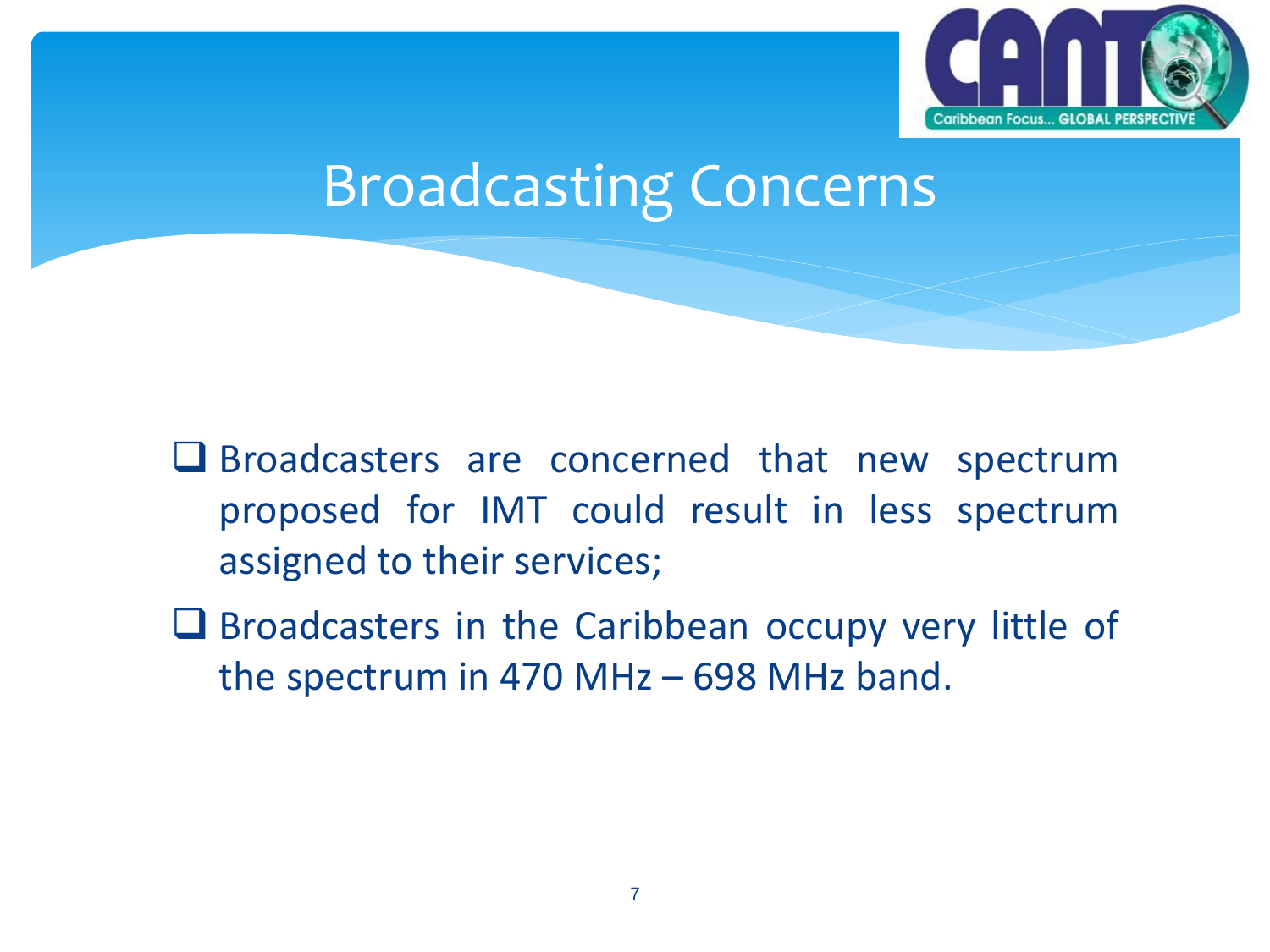

#### Broadcasting Concerns

- Broadcasters are concerned that new spectrum proposed for IMT could result in less spectrum assigned to their services;
- $\Box$  Broadcasters in the Caribbean occupy very little of the spectrum in 470 MHz – 698 MHz band.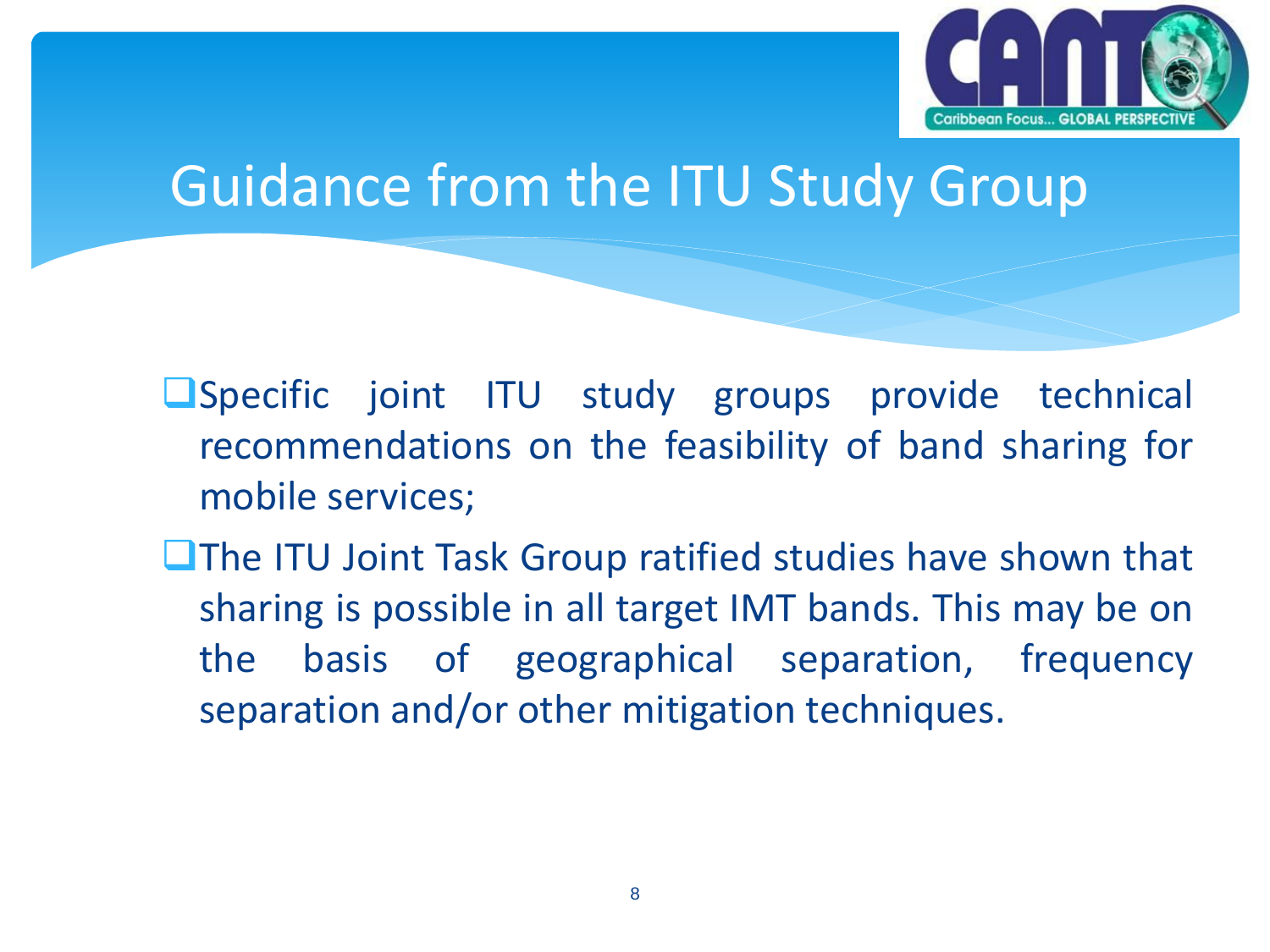

#### Guidance from the ITU Study Group

- **Specific joint ITU study groups provide technical** recommendations on the feasibility of band sharing for mobile services;
- $\Box$  The ITU Joint Task Group ratified studies have shown that sharing is possible in all target IMT bands. This may be on the basis of geographical separation, frequency separation and/or other mitigation techniques.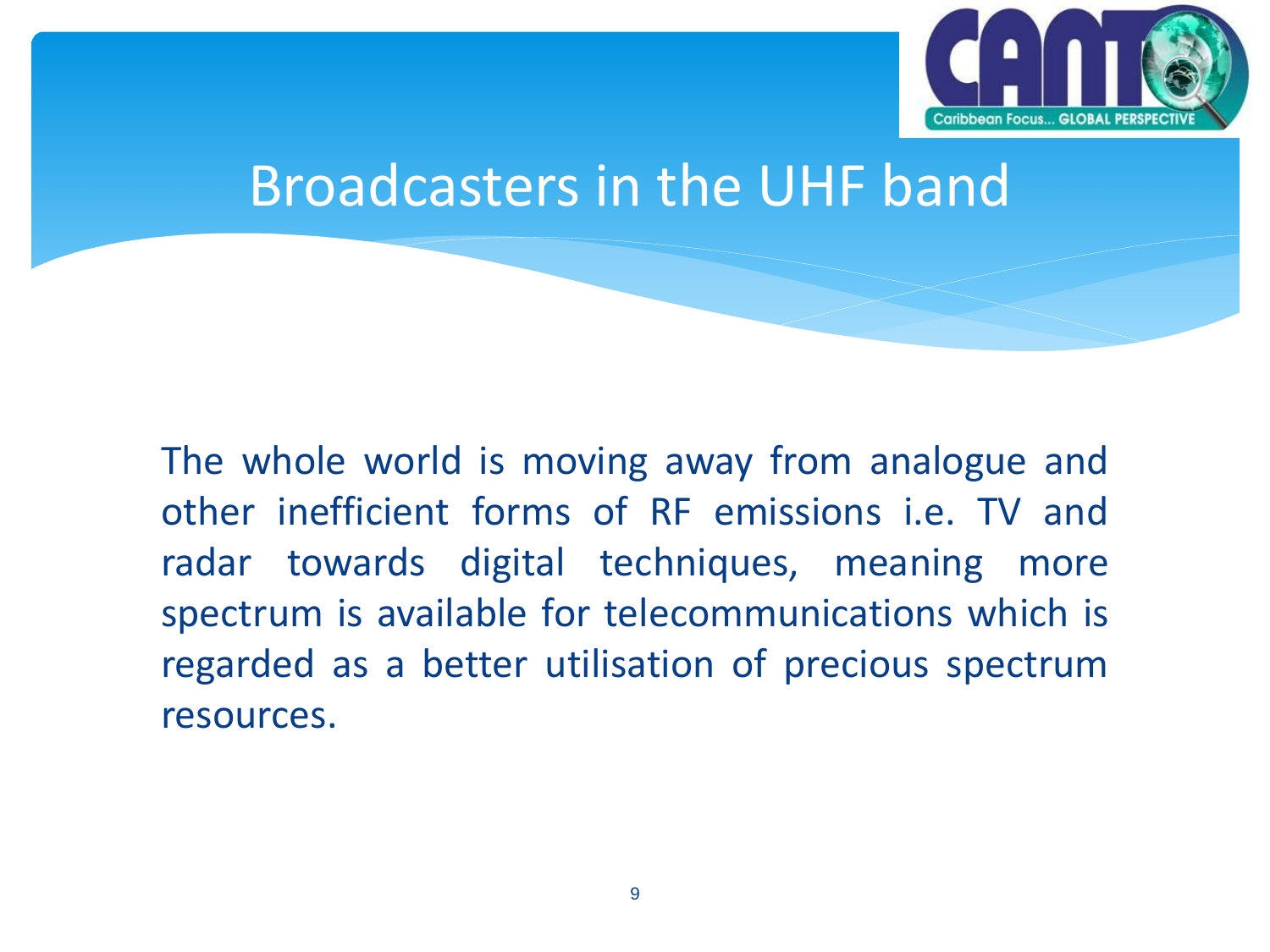

#### Broadcasters in the UHF band

The whole world is moving away from analogue and other inefficient forms of RF emissions i.e. TV and radar towards digital techniques, meaning more spectrum is available for telecommunications which is regarded as a better utilisation of precious spectrum resources.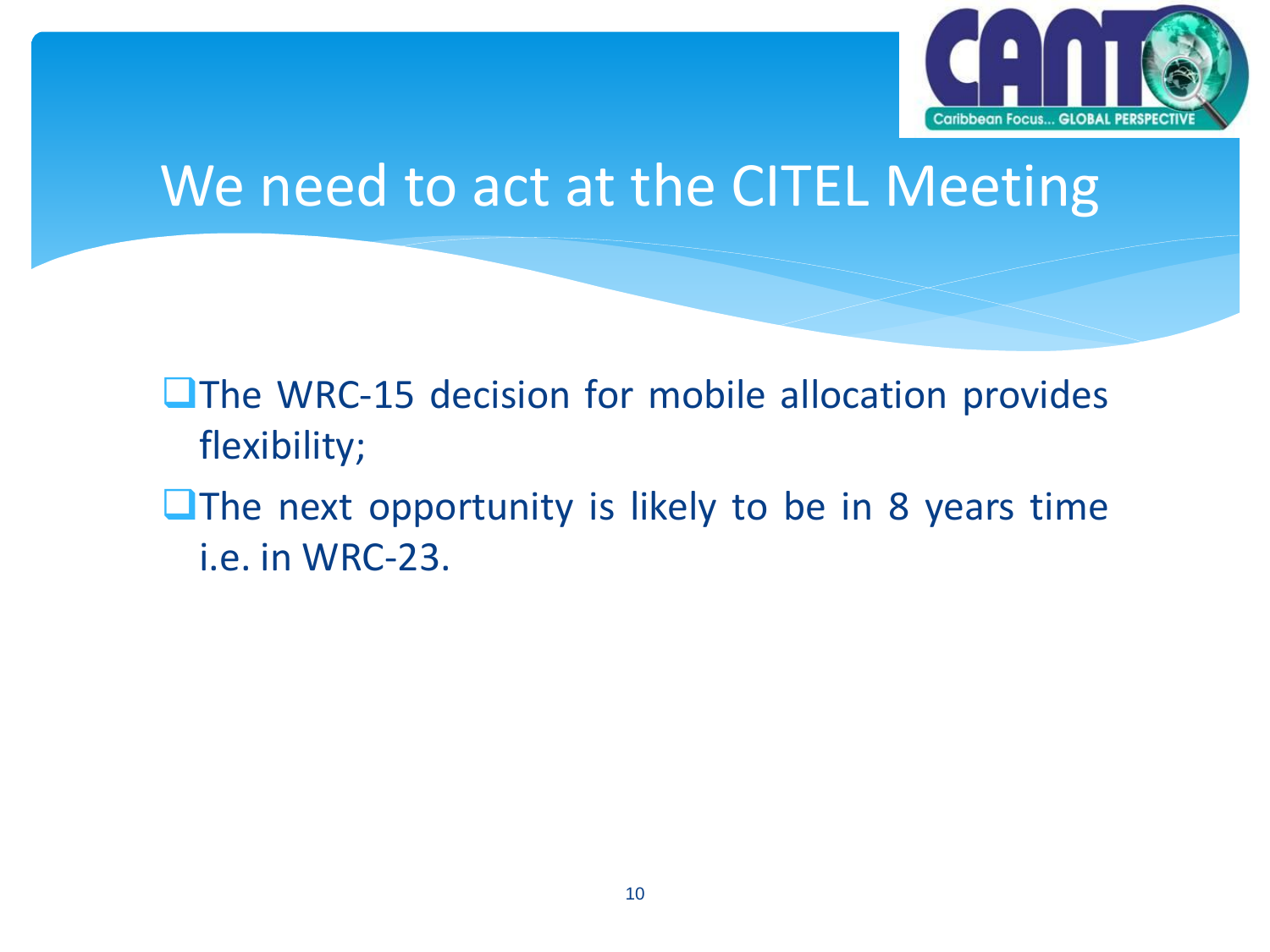

#### We need to act at the CITEL Meeting

**The WRC-15 decision for mobile allocation provides** flexibility;

 $\Box$  The next opportunity is likely to be in 8 years time i.e. in WRC-23.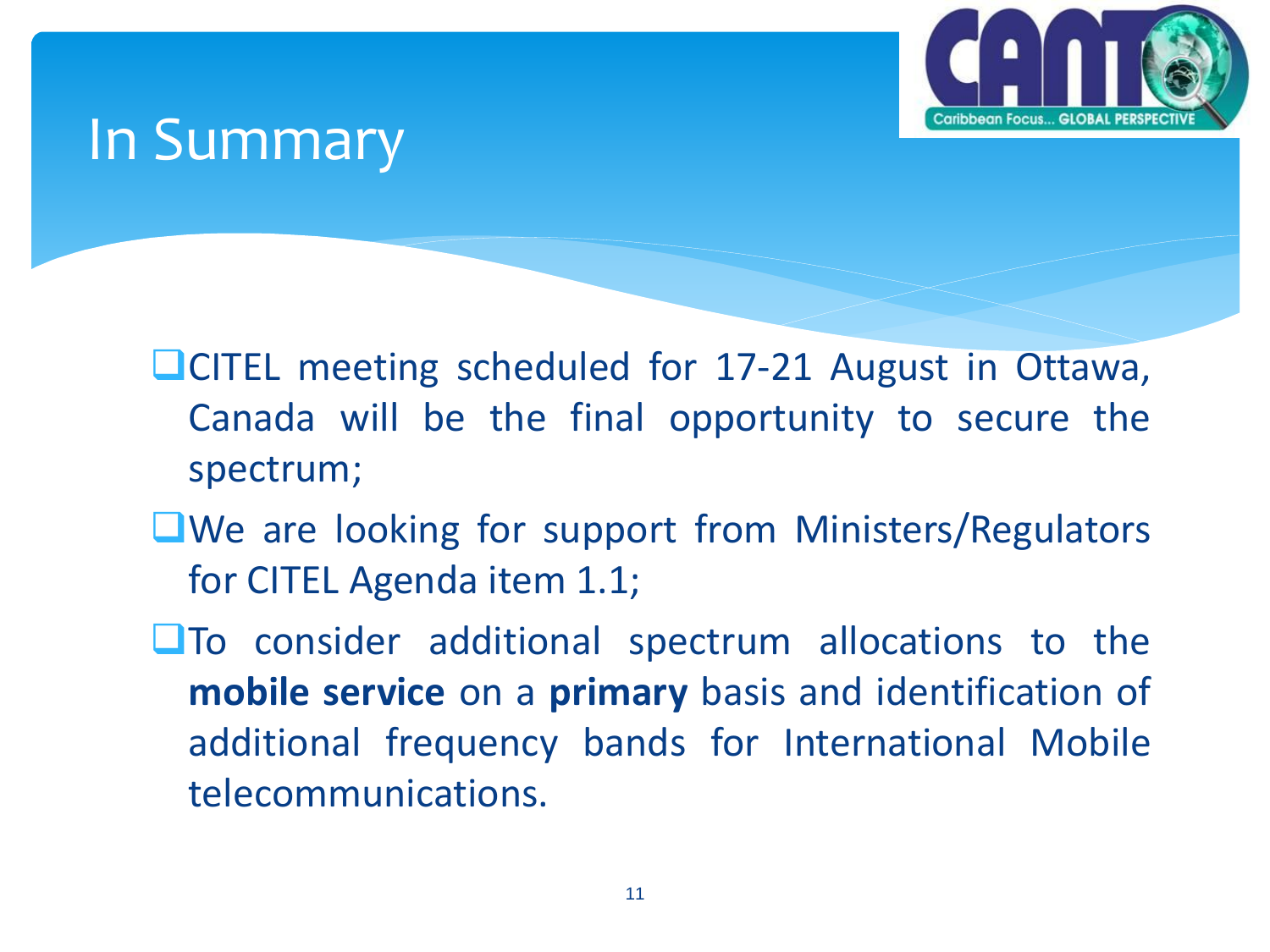

#### In Summary

**LICITEL meeting scheduled for 17-21 August in Ottawa,** Canada will be the final opportunity to secure the spectrum;

- ■We are looking for support from Ministers/Regulators for CITEL Agenda item 1.1;
- **The consider additional spectrum allocations to the mobile service** on a **primary** basis and identification of additional frequency bands for International Mobile telecommunications.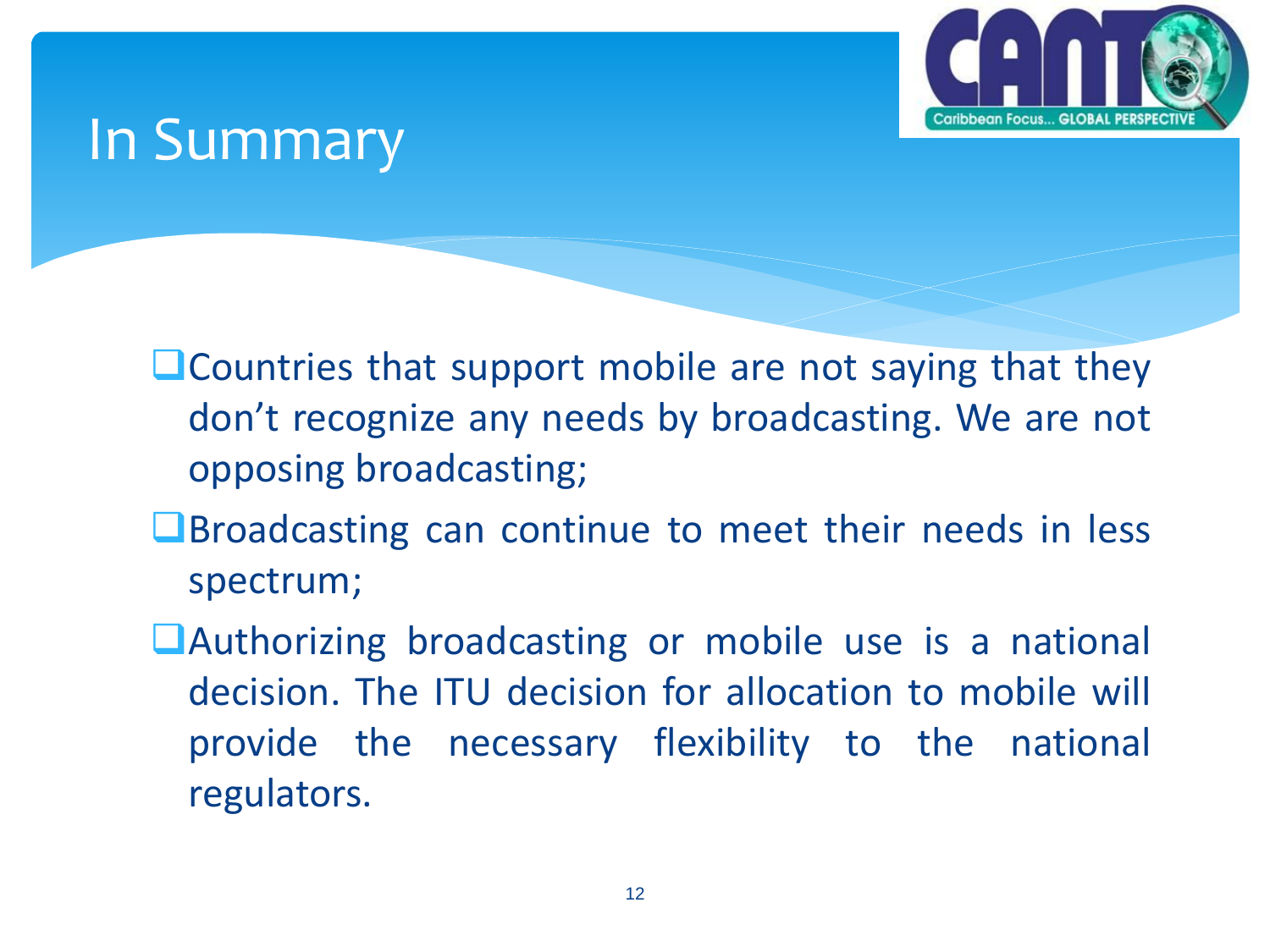

#### In Summary

**L**Countries that support mobile are not saying that they don't recognize any needs by broadcasting. We are not opposing broadcasting;

**Q**Broadcasting can continue to meet their needs in less spectrum;

Authorizing broadcasting or mobile use is a national decision. The ITU decision for allocation to mobile will provide the necessary flexibility to the national regulators.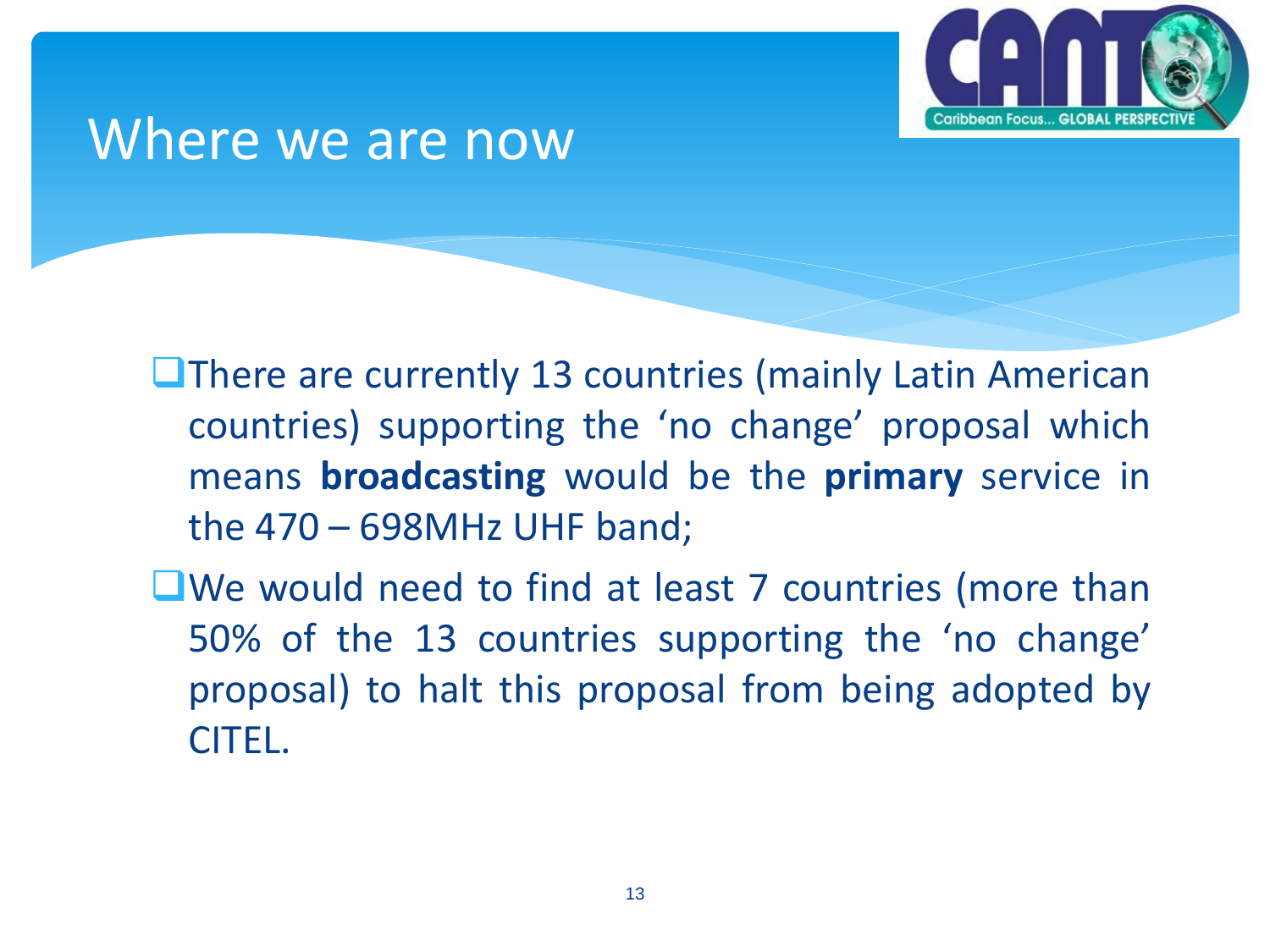

#### Where we are now

**L**There are currently 13 countries (mainly Latin American countries) supporting the 'no change' proposal which means **broadcasting** would be the **primary** service in the 470 – 698MHz UHF band;

■We would need to find at least 7 countries (more than 50% of the 13 countries supporting the 'no change' proposal) to halt this proposal from being adopted by CITEL.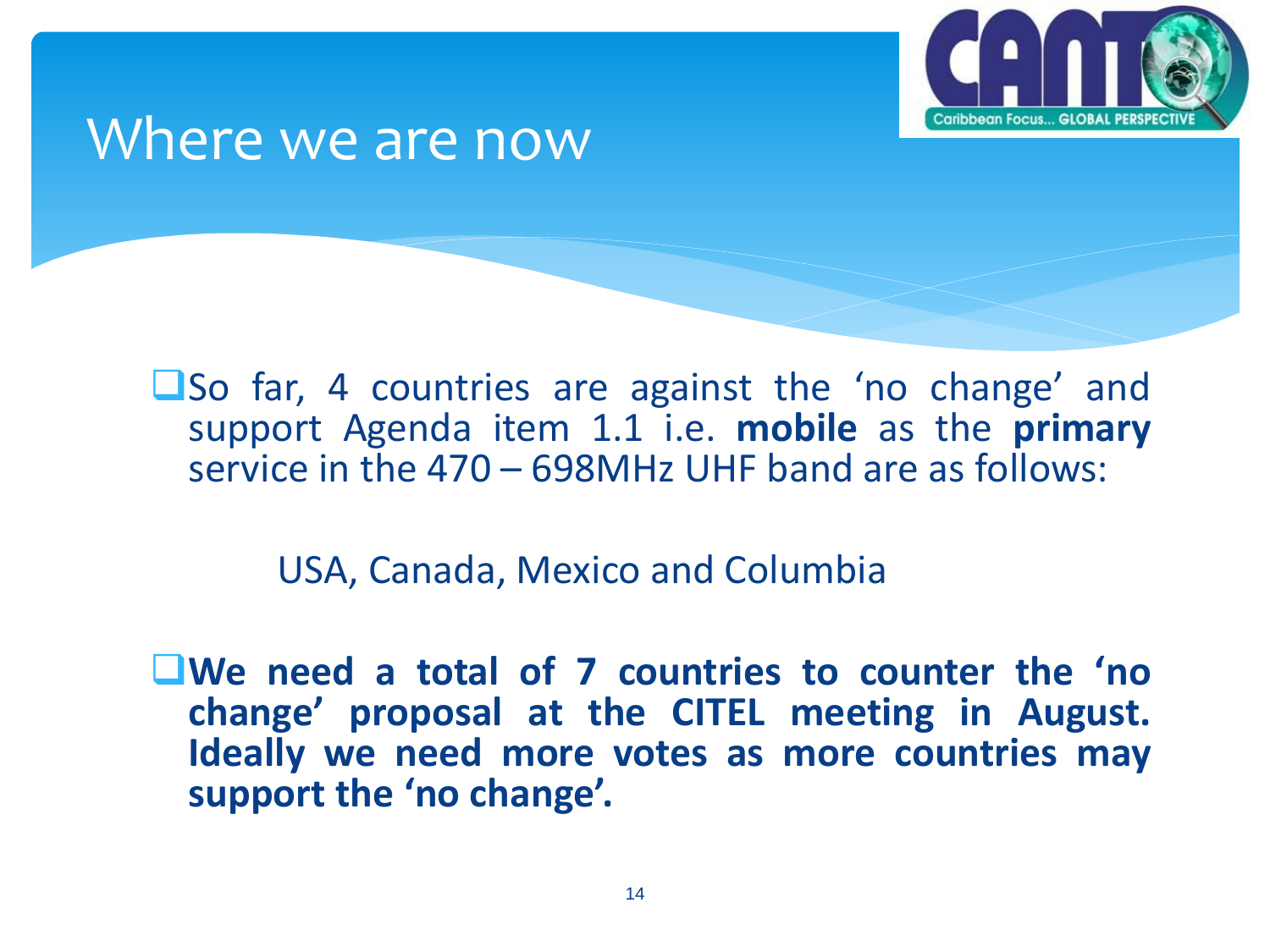

#### Where we are now

**LSo far, 4 countries are against the 'no change' and** support Agenda item 1.1 i.e. **mobile** as the **primary** service in the 470 – 698MHz UHF band are as follows:

USA, Canada, Mexico and Columbia

**We need a total of 7 countries to counter the 'no change' proposal at the CITEL meeting in August. Ideally we need more votes as more countries may support the 'no change'.**